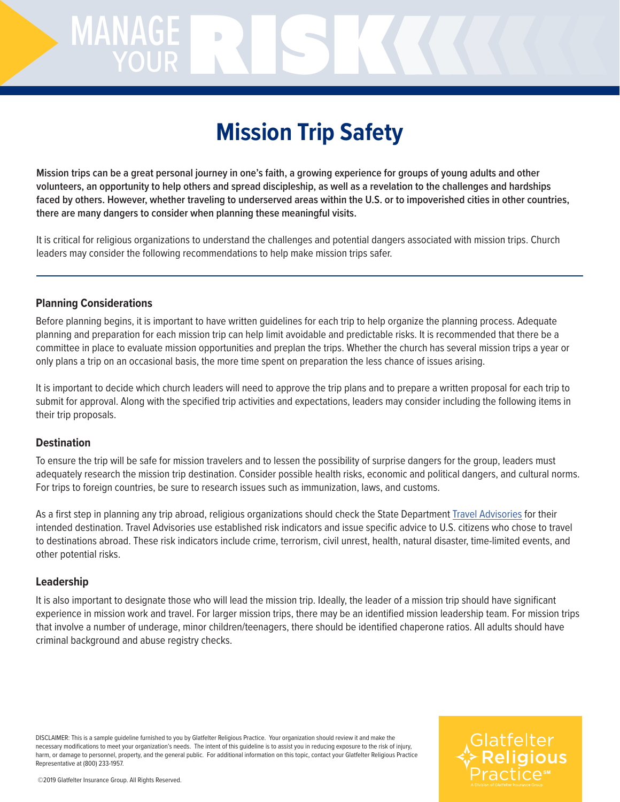# MANAGERISK

# **Mission Trip Safety**

**Mission trips can be a great personal journey in one's faith, a growing experience for groups of young adults and other volunteers, an opportunity to help others and spread discipleship, as well as a revelation to the challenges and hardships faced by others. However, whether traveling to underserved areas within the U.S. or to impoverished cities in other countries, there are many dangers to consider when planning these meaningful visits.**

It is critical for religious organizations to understand the challenges and potential dangers associated with mission trips. Church leaders may consider the following recommendations to help make mission trips safer.

### **Planning Considerations**

Before planning begins, it is important to have written guidelines for each trip to help organize the planning process. Adequate planning and preparation for each mission trip can help limit avoidable and predictable risks. It is recommended that there be a committee in place to evaluate mission opportunities and preplan the trips. Whether the church has several mission trips a year or only plans a trip on an occasional basis, the more time spent on preparation the less chance of issues arising.

It is important to decide which church leaders will need to approve the trip plans and to prepare a written proposal for each trip to submit for approval. Along with the specified trip activities and expectations, leaders may consider including the following items in their trip proposals.

### **Destination**

To ensure the trip will be safe for mission travelers and to lessen the possibility of surprise dangers for the group, leaders must adequately research the mission trip destination. Consider possible health risks, economic and political dangers, and cultural norms. For trips to foreign countries, be sure to research issues such as immunization, laws, and customs.

As a first step in planning any trip abroad, religious organizations should check the State Department [Travel Advisories](https://travel.state.gov/content/travel/en/traveladvisories/traveladvisories.html) for their intended destination. Travel Advisories use established risk indicators and issue specific advice to U.S. citizens who chose to travel to destinations abroad. These risk indicators include crime, terrorism, civil unrest, health, natural disaster, time-limited events, and other potential risks.

### **Leadership**

It is also important to designate those who will lead the mission trip. Ideally, the leader of a mission trip should have significant experience in mission work and travel. For larger mission trips, there may be an identified mission leadership team. For mission trips that involve a number of underage, minor children/teenagers, there should be identified chaperone ratios. All adults should have criminal background and abuse registry checks.

DISCLAIMER: This is a sample guideline furnished to you by Glatfelter Religious Practice. Your organization should review it and make the necessary modifications to meet your organization's needs. The intent of this guideline is to assist you in reducing exposure to the risk of injury, harm, or damage to personnel, property, and the general public. For additional information on this topic, contact your Glatfelter Religious Practice Representative at (800) 233-1957.